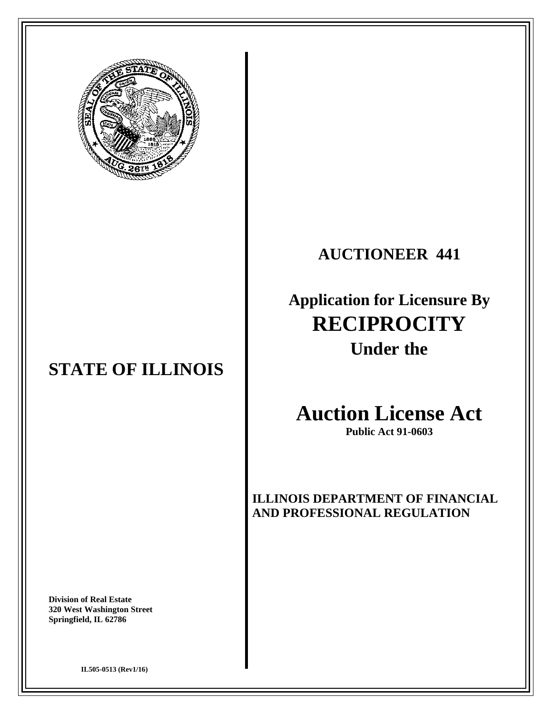

## **STATE OF ILLINOIS**

**Division of Real Estate 320 West Washington Street Springfield, IL 62786** 

## **AUCTIONEER 441**

# **Application for Licensure By RECIPROCITY Under the**

# **Auction License Act**

**Public Act 91-0603** 

**ILLINOIS DEPARTMENT OF FINANCIAL AND PROFESSIONAL REGULATION**

**IL505-0513 (Rev1/16)**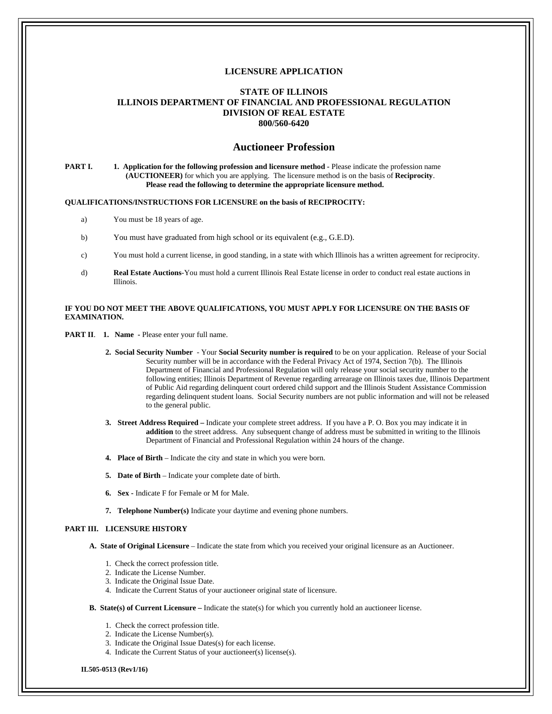### **LICENSURE APPLICATION**

### **STATE OF ILLINOIS ILLINOIS DEPARTMENT OF FINANCIAL AND PROFESSIONAL REGULATION DIVISION OF REAL ESTATE 800/560-6420**

### **Auctioneer Profession**

### **PART I.** 1. Application for the following profession and licensure method - Please indicate the profession name **(AUCTIONEER)** for which you are applying. The licensure method is on the basis of **Reciprocity**. **Please read the following to determine the appropriate licensure method.**

### **QUALIFICATIONS/INSTRUCTIONS FOR LICENSURE on the basis of RECIPROCITY:**

- a) You must be 18 years of age.
- b) You must have graduated from high school or its equivalent (e.g., G.E.D).
- c) You must hold a current license, in good standing, in a state with which Illinois has a written agreement for reciprocity.
- d) **Real Estate Auctions**-You must hold a current Illinois Real Estate license in order to conduct real estate auctions in Illinois.

### **IF YOU DO NOT MEET THE ABOVE QUALIFICATIONS, YOU MUST APPLY FOR LICENSURE ON THE BASIS OF EXAMINATION.**

**PART II. 1. Name - Please enter your full name.** 

- **2. Social Security Number** Your **Social Security number is required** to be on your application. Release of your Social Security number will be in accordance with the Federal Privacy Act of 1974, Section 7(b). The Illinois Department of Financial and Professional Regulation will only release your social security number to the following entities; Illinois Department of Revenue regarding arrearage on Illinois taxes due, Illinois Department of Public Aid regarding delinquent court ordered child support and the Illinois Student Assistance Commission regarding delinquent student loans. Social Security numbers are not public information and will not be released to the general public.
- **3. Street Address Required** Indicate your complete street address. If you have a P. O. Box you may indicate it in **addition** to the street address. Any subsequent change of address must be submitted in writing to the Illinois Department of Financial and Professional Regulation within 24 hours of the change.
- **4. Place of Birth** Indicate the city and state in which you were born.
- **5. Date of Birth** Indicate your complete date of birth.
- **6. Sex** Indicate F for Female or M for Male.
- **7. Telephone Number(s)** Indicate your daytime and evening phone numbers.

### **PART III. LICENSURE HISTORY**

**A. State of Original Licensure** – Indicate the state from which you received your original licensure as an Auctioneer.

- 1. Check the correct profession title.
- 2. Indicate the License Number.
- 3. Indicate the Original Issue Date.
- 4. Indicate the Current Status of your auctioneer original state of licensure.

#### **B. State(s) of Current Licensure –** Indicate the state(s) for which you currently hold an auctioneer license.

- 1. Check the correct profession title.
- 2. Indicate the License Number(s).
- 3. Indicate the Original Issue Dates(s) for each license.
- 4. Indicate the Current Status of your auctioneer(s) license(s).

**IL505-0513 (Rev1/16)**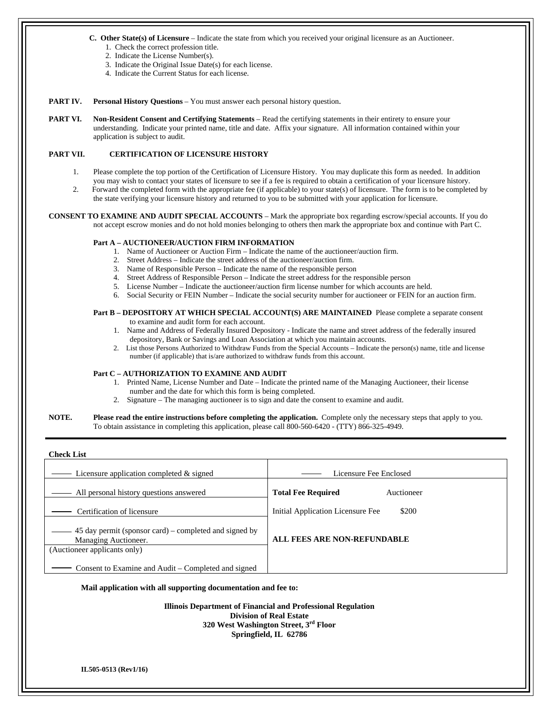#### **C. Other State(s) of Licensure** – Indicate the state from which you received your original licensure as an Auctioneer.

- 1. Check the correct profession title.
- 2. Indicate the License Number(s).
- 3. Indicate the Original Issue Date(s) for each license.
- 4. Indicate the Current Status for each license.

#### **PART IV.** Personal History Questions – You must answer each personal history question.

**PART VI.** Non-Resident Consent and Certifying Statements – Read the certifying statements in their entirety to ensure your understanding. Indicate your printed name, title and date. Affix your signature. All information contained within your application is subject to audit.

### **PART VII. CERTIFICATION OF LICENSURE HISTORY**

- 1. Please complete the top portion of the Certification of Licensure History. You may duplicate this form as needed. In addition you may wish to contact your states of licensure to see if a fee is required to obtain a certification of your licensure history.
- 2. Forward the completed form with the appropriate fee (if applicable) to your state(s) of licensure. The form is to be completed by the state verifying your licensure history and returned to you to be submitted with your application for licensure.

**CONSENT TO EXAMINE AND AUDIT SPECIAL ACCOUNTS** – Mark the appropriate box regarding escrow/special accounts. If you do not accept escrow monies and do not hold monies belonging to others then mark the appropriate box and continue with Part C.

### **Part A – AUCTIONEER/AUCTION FIRM INFORMATION**

- 1. Name of Auctioneer or Auction Firm Indicate the name of the auctioneer/auction firm.
- 2. Street Address Indicate the street address of the auctioneer/auction firm.
- 3. Name of Responsible Person Indicate the name of the responsible person
- 4. Street Address of Responsible Person Indicate the street address for the responsible person
- 5. License Number Indicate the auctioneer/auction firm license number for which accounts are held.
- 6. Social Security or FEIN Number Indicate the social security number for auctioneer or FEIN for an auction firm.

### Part B - DEPOSITORY AT WHICH SPECIAL ACCOUNT(S) ARE MAINTAINED Please complete a separate consent

- to examine and audit form for each account.
- 1. Name and Address of Federally Insured Depository Indicate the name and street address of the federally insured depository, Bank or Savings and Loan Association at which you maintain accounts.
- 2. List those Persons Authorized to Withdraw Funds from the Special Accounts Indicate the person(s) name, title and license number (if applicable) that is/are authorized to withdraw funds from this account.

#### **Part C – AUTHORIZATION TO EXAMINE AND AUDIT**

- 1. Printed Name, License Number and Date Indicate the printed name of the Managing Auctioneer, their license number and the date for which this form is being completed.
- 2. Signature The managing auctioneer is to sign and date the consent to examine and audit.

### **NOTE. Please read the entire instructions before completing the application.** Complete only the necessary steps that apply to you. To obtain assistance in completing this application, please call 800-560-6420 - (TTY) 866-325-4949.

**Check List** - Licensure application completed & signed a metal contract the Licensure Fee Enclosed All personal history questions answered **Total Fee Required** Auctioneer Initial Application Licensure Fee \$200 **ALL FEES ARE NON-REFUNDABLE** Certification of licensure 45 day permit (sponsor card) – completed and signed by Managing Auctioneer. (Auctioneer applicants only) Consent to Examine and Audit – Completed and signed

#### **Mail application with all supporting documentation and fee to:**

**Illinois Department of Financial and Professional Regulation Division of Real Estate 320 West Washington Street, 3rd Floor Springfield, IL 62786**

**IL505-0513 (Rev1/16)**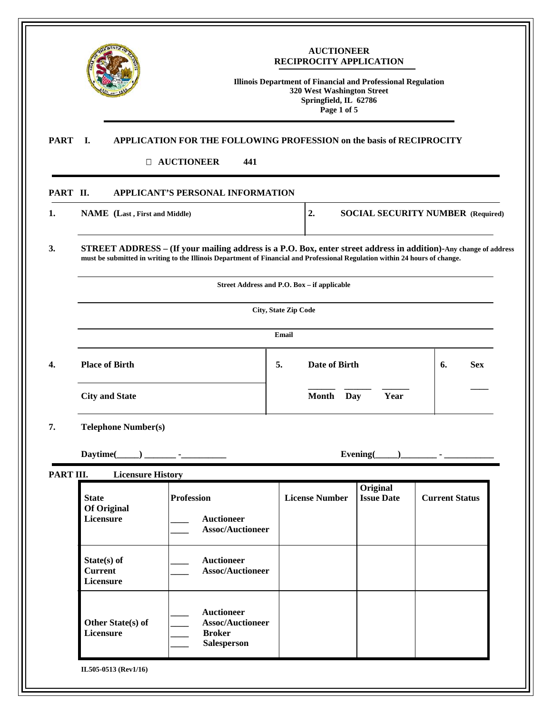| I.                                                                                                                                                                                                                                                    | 441                                               |                                                                                                                                                    |                                                                                                                                                                                          |                                                                                                                                                                                                                                                                                      |  |
|-------------------------------------------------------------------------------------------------------------------------------------------------------------------------------------------------------------------------------------------------------|---------------------------------------------------|----------------------------------------------------------------------------------------------------------------------------------------------------|------------------------------------------------------------------------------------------------------------------------------------------------------------------------------------------|--------------------------------------------------------------------------------------------------------------------------------------------------------------------------------------------------------------------------------------------------------------------------------------|--|
| PART II.                                                                                                                                                                                                                                              |                                                   |                                                                                                                                                    |                                                                                                                                                                                          |                                                                                                                                                                                                                                                                                      |  |
|                                                                                                                                                                                                                                                       |                                                   | 2.                                                                                                                                                 |                                                                                                                                                                                          | <b>SOCIAL SECURITY NUMBER (Required)</b>                                                                                                                                                                                                                                             |  |
| 3.<br>STREET ADDRESS - (If your mailing address is a P.O. Box, enter street address in addition)-Any change of address<br>must be submitted in writing to the Illinois Department of Financial and Professional Regulation within 24 hours of change. |                                                   |                                                                                                                                                    |                                                                                                                                                                                          |                                                                                                                                                                                                                                                                                      |  |
|                                                                                                                                                                                                                                                       |                                                   |                                                                                                                                                    |                                                                                                                                                                                          |                                                                                                                                                                                                                                                                                      |  |
|                                                                                                                                                                                                                                                       |                                                   |                                                                                                                                                    |                                                                                                                                                                                          |                                                                                                                                                                                                                                                                                      |  |
|                                                                                                                                                                                                                                                       |                                                   | Email                                                                                                                                              |                                                                                                                                                                                          |                                                                                                                                                                                                                                                                                      |  |
| <b>Place of Birth</b>                                                                                                                                                                                                                                 |                                                   | Date of Birth<br>5.                                                                                                                                |                                                                                                                                                                                          |                                                                                                                                                                                                                                                                                      |  |
| <b>City and State</b>                                                                                                                                                                                                                                 |                                                   | <b>Month</b>                                                                                                                                       | Year                                                                                                                                                                                     |                                                                                                                                                                                                                                                                                      |  |
| <b>Telephone Number(s)</b>                                                                                                                                                                                                                            |                                                   |                                                                                                                                                    |                                                                                                                                                                                          |                                                                                                                                                                                                                                                                                      |  |
| Daytime(                                                                                                                                                                                                                                              |                                                   |                                                                                                                                                    |                                                                                                                                                                                          |                                                                                                                                                                                                                                                                                      |  |
| PART III.<br><b>State</b><br><b>Of Original</b>                                                                                                                                                                                                       | <b>Profession</b>                                 | <b>License Number</b>                                                                                                                              | Original<br><b>Issue Date</b>                                                                                                                                                            | <b>Current Status</b>                                                                                                                                                                                                                                                                |  |
|                                                                                                                                                                                                                                                       |                                                   |                                                                                                                                                    |                                                                                                                                                                                          |                                                                                                                                                                                                                                                                                      |  |
| State(s) of<br><b>Current</b><br>Licensure                                                                                                                                                                                                            | <b>Auctioneer</b>                                 |                                                                                                                                                    |                                                                                                                                                                                          |                                                                                                                                                                                                                                                                                      |  |
| Other State(s) of<br>Licensure                                                                                                                                                                                                                        | <b>Auctioneer</b><br><b>Broker</b><br>Salesperson |                                                                                                                                                    |                                                                                                                                                                                          |                                                                                                                                                                                                                                                                                      |  |
|                                                                                                                                                                                                                                                       | Licensure                                         | <b>D AUCTIONEER</b><br>NAME (Last, First and Middle)<br><u> 1989 - Jan Store, Amerikaansk kon</u><br><b>Licensure History</b><br><b>Auctioneer</b> | APPLICANT'S PERSONAL INFORMATION<br>Street Address and P.O. Box - if applicable<br>City, State Zip Code<br><b>Assoc/Auctioneer</b><br><b>Assoc/Auctioneer</b><br><b>Assoc/Auctioneer</b> | <b>AUCTIONEER</b><br>RECIPROCITY APPLICATION<br><b>Illinois Department of Financial and Professional Regulation</b><br>320 West Washington Street<br>Springfield, IL 62786<br>Page 1 of 5<br>APPLICATION FOR THE FOLLOWING PROFESSION on the basis of RECIPROCITY<br>Day<br>Evening( |  |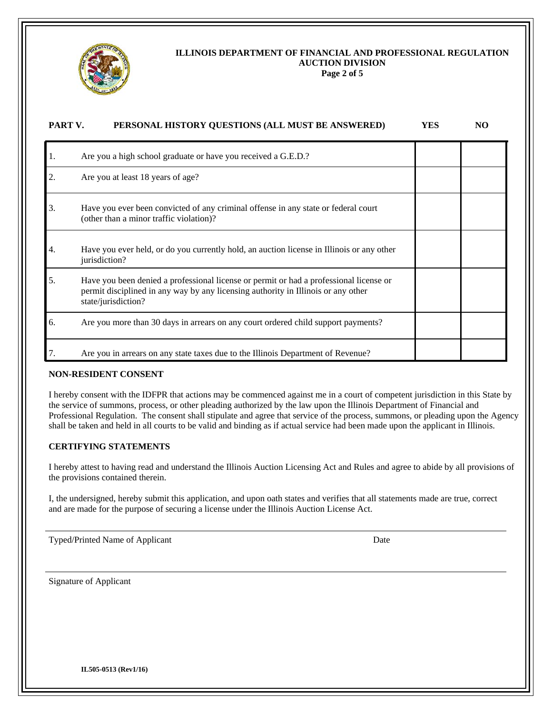

### **ILLINOIS DEPARTMENT OF FINANCIAL AND PROFESSIONAL REGULATION AUCTION DIVISION**

**Page 2 of 5** 

| PART V. | PERSONAL HISTORY QUESTIONS (ALL MUST BE ANSWERED)                                                                                                                                                  | <b>YES</b> | NO. |
|---------|----------------------------------------------------------------------------------------------------------------------------------------------------------------------------------------------------|------------|-----|
| 1.      | Are you a high school graduate or have you received a G.E.D.?                                                                                                                                      |            |     |
| 2.      | Are you at least 18 years of age?                                                                                                                                                                  |            |     |
| 3.      | Have you ever been convicted of any criminal offense in any state or federal court<br>(other than a minor traffic violation)?                                                                      |            |     |
| 4.      | Have you ever held, or do you currently hold, an auction license in Illinois or any other<br>jurisdiction?                                                                                         |            |     |
| 5.      | Have you been denied a professional license or permit or had a professional license or<br>permit disciplined in any way by any licensing authority in Illinois or any other<br>state/jurisdiction? |            |     |
| 6.      | Are you more than 30 days in arrears on any court ordered child support payments?                                                                                                                  |            |     |
|         | Are you in arrears on any state taxes due to the Illinois Department of Revenue?                                                                                                                   |            |     |

### **NON-RESIDENT CONSENT**

I hereby consent with the IDFPR that actions may be commenced against me in a court of competent jurisdiction in this State by the service of summons, process, or other pleading authorized by the law upon the Illinois Department of Financial and Professional Regulation. The consent shall stipulate and agree that service of the process, summons, or pleading upon the Agency shall be taken and held in all courts to be valid and binding as if actual service had been made upon the applicant in Illinois.

### **CERTIFYING STATEMENTS**

I hereby attest to having read and understand the Illinois Auction Licensing Act and Rules and agree to abide by all provisions of the provisions contained therein.

I, the undersigned, hereby submit this application, and upon oath states and verifies that all statements made are true, correct and are made for the purpose of securing a license under the Illinois Auction License Act.

Typed/Printed Name of Applicant Date

Signature of Applicant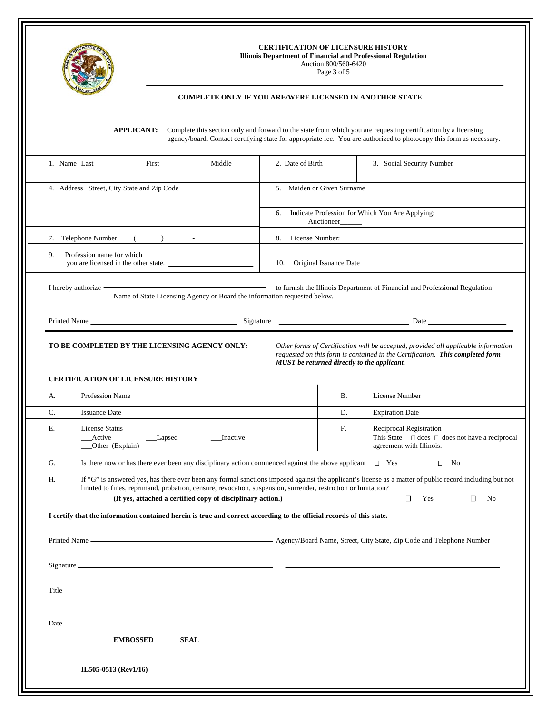

### **CERTIFICATION OF LICENSURE HISTORY**

**Illinois Department of Financial and Professional Regulation** 

Auction 800/560-6420

Page 3 of 5

### **COMPLETE ONLY IF YOU ARE/WERE LICENSED IN ANOTHER STATE**

**APPLICANT:** Complete this section only and forward to the state from which you are requesting certification by a licensing agency/board. Contact certifying state for appropriate fee. You are authorized to photocopy this form as necessary.

| 1. Name Last                                                            | First<br>Middle                                                                                                                                                                                                                                                                                                                          | 2. Date of Birth                                                     |                               | 3. Social Security Number                                                                                                                                                                                          |  |
|-------------------------------------------------------------------------|------------------------------------------------------------------------------------------------------------------------------------------------------------------------------------------------------------------------------------------------------------------------------------------------------------------------------------------|----------------------------------------------------------------------|-------------------------------|--------------------------------------------------------------------------------------------------------------------------------------------------------------------------------------------------------------------|--|
| 4. Address Street, City State and Zip Code                              |                                                                                                                                                                                                                                                                                                                                          | 5. Maiden or Given Surname                                           |                               |                                                                                                                                                                                                                    |  |
|                                                                         |                                                                                                                                                                                                                                                                                                                                          | Indicate Profession for Which You Are Applying:<br>6.<br>Auctioneer_ |                               |                                                                                                                                                                                                                    |  |
|                                                                         | 7. Telephone Number:<br>$($ $\_\_$ $\_\_$ $\_\_$ $\_\_$ $\_\_$ $\_\_$ $\_\_$ $\_\_$ $\_\_$ $\_\_$ $\_\_$ $\_\_$ $\_\_$ $\_\_$ $\_\_$ $\_\_$ $\_\_$ $\_\_$ $\_\_$ $\_\_$ $\_\_$ $\_\_$ $\_\_$ $\_\_$ $\_\_$ $\_\_$ $\_\_$ $\_\_$ $\_\_$ $\_\_$ $\_\_$ $\_\_$ $\_\_$ $\_\_$ $\_\_$ $\_\_$                                                  | 8. License Number:                                                   |                               |                                                                                                                                                                                                                    |  |
| 9.<br>Profession name for which<br>you are licensed in the other state. |                                                                                                                                                                                                                                                                                                                                          |                                                                      | Original Issuance Date<br>10. |                                                                                                                                                                                                                    |  |
|                                                                         | I hereby authorize -<br>Name of State Licensing Agency or Board the information requested below.                                                                                                                                                                                                                                         |                                                                      |                               | to furnish the Illinois Department of Financial and Professional Regulation                                                                                                                                        |  |
|                                                                         |                                                                                                                                                                                                                                                                                                                                          |                                                                      |                               |                                                                                                                                                                                                                    |  |
|                                                                         | TO BE COMPLETED BY THE LICENSING AGENCY ONLY:                                                                                                                                                                                                                                                                                            |                                                                      |                               | Other forms of Certification will be accepted, provided all applicable information<br>requested on this form is contained in the Certification. This completed form<br>MUST be returned directly to the applicant. |  |
|                                                                         | <b>CERTIFICATION OF LICENSURE HISTORY</b>                                                                                                                                                                                                                                                                                                |                                                                      |                               |                                                                                                                                                                                                                    |  |
| А.                                                                      | <b>Profession Name</b>                                                                                                                                                                                                                                                                                                                   |                                                                      | В.                            | License Number                                                                                                                                                                                                     |  |
| C.                                                                      | <b>Issuance Date</b>                                                                                                                                                                                                                                                                                                                     |                                                                      | D.                            | <b>Expiration Date</b>                                                                                                                                                                                             |  |
| Е.                                                                      | License Status<br>__Active<br>__Lapsed<br>__Inactive<br>_Other (Explain)                                                                                                                                                                                                                                                                 |                                                                      | F.                            | Reciprocal Registration<br>This State $\Box$ does $\Box$ does not have a reciprocal<br>agreement with Illinois.                                                                                                    |  |
| G.                                                                      | Is there now or has there ever been any disciplinary action commenced against the above applicant $\square$ Yes                                                                                                                                                                                                                          |                                                                      |                               | $\square$ No                                                                                                                                                                                                       |  |
| Н.                                                                      | If "G" is answered yes, has there ever been any formal sanctions imposed against the applicant's license as a matter of public record including but not<br>limited to fines, reprimand, probation, censure, revocation, suspension, surrender, restriction or limitation?<br>(If yes, attached a certified copy of disciplinary action.) |                                                                      |                               | $\Box$<br>$\Box$<br>Yes<br>N <sub>0</sub>                                                                                                                                                                          |  |
|                                                                         | I certify that the information contained herein is true and correct according to the official records of this state.                                                                                                                                                                                                                     |                                                                      |                               |                                                                                                                                                                                                                    |  |
|                                                                         | Printed Name <b>Contract City State, Zip Code and Telephone Number</b> Agency/Board Name, Street, City State, Zip Code and Telephone Number                                                                                                                                                                                              |                                                                      |                               |                                                                                                                                                                                                                    |  |
|                                                                         |                                                                                                                                                                                                                                                                                                                                          |                                                                      |                               |                                                                                                                                                                                                                    |  |
| Title                                                                   |                                                                                                                                                                                                                                                                                                                                          |                                                                      |                               |                                                                                                                                                                                                                    |  |
| Date —                                                                  |                                                                                                                                                                                                                                                                                                                                          |                                                                      |                               |                                                                                                                                                                                                                    |  |
|                                                                         | <b>EMBOSSED</b><br><b>SEAL</b>                                                                                                                                                                                                                                                                                                           |                                                                      |                               |                                                                                                                                                                                                                    |  |
|                                                                         | IL505-0513 (Rev1/16)                                                                                                                                                                                                                                                                                                                     |                                                                      |                               |                                                                                                                                                                                                                    |  |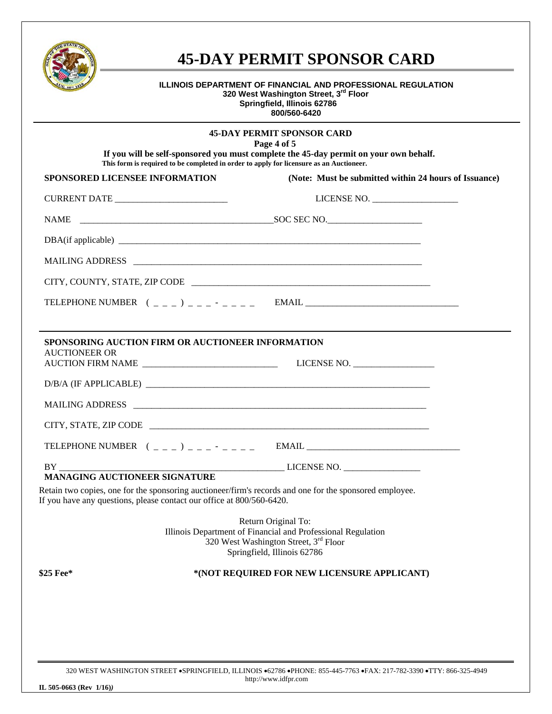

## **45-DAY PERMIT SPONSOR CARD**

### **ILLINOIS DEPARTMENT OF FINANCIAL AND PROFESSIONAL REGULATION 320 West Washington Street, 3rd Floor Springfield, Illinois 62786 800/560-6420**

| <b>45-DAY PERMIT SPONSOR CARD</b><br>Page 4 of 5                                                                                                                                 |  |                                                                                                                                                             |  |  |  |
|----------------------------------------------------------------------------------------------------------------------------------------------------------------------------------|--|-------------------------------------------------------------------------------------------------------------------------------------------------------------|--|--|--|
| If you will be self-sponsored you must complete the 45-day permit on your own behalf.<br>This form is required to be completed in order to apply for licensure as an Auctioneer. |  |                                                                                                                                                             |  |  |  |
| <b>SPONSORED LICENSEE INFORMATION</b>                                                                                                                                            |  | (Note: Must be submitted within 24 hours of Issuance)                                                                                                       |  |  |  |
| CURRENT DATE ____________________________                                                                                                                                        |  | LICENSE NO.                                                                                                                                                 |  |  |  |
|                                                                                                                                                                                  |  |                                                                                                                                                             |  |  |  |
|                                                                                                                                                                                  |  |                                                                                                                                                             |  |  |  |
|                                                                                                                                                                                  |  |                                                                                                                                                             |  |  |  |
|                                                                                                                                                                                  |  |                                                                                                                                                             |  |  |  |
|                                                                                                                                                                                  |  |                                                                                                                                                             |  |  |  |
|                                                                                                                                                                                  |  |                                                                                                                                                             |  |  |  |
| <b>SPONSORING AUCTION FIRM OR AUCTIONEER INFORMATION</b>                                                                                                                         |  |                                                                                                                                                             |  |  |  |
| <b>AUCTIONEER OR</b>                                                                                                                                                             |  |                                                                                                                                                             |  |  |  |
|                                                                                                                                                                                  |  |                                                                                                                                                             |  |  |  |
|                                                                                                                                                                                  |  | MAILING ADDRESS                                                                                                                                             |  |  |  |
|                                                                                                                                                                                  |  |                                                                                                                                                             |  |  |  |
|                                                                                                                                                                                  |  |                                                                                                                                                             |  |  |  |
|                                                                                                                                                                                  |  | LICENSE NO.                                                                                                                                                 |  |  |  |
| MANAGING AUCTIONEER SIGNATURE<br>If you have any questions, please contact our office at 800/560-6420.                                                                           |  | Retain two copies, one for the sponsoring auctioneer/firm's records and one for the sponsored employee.                                                     |  |  |  |
|                                                                                                                                                                                  |  | Return Original To:<br>Illinois Department of Financial and Professional Regulation<br>320 West Washington Street, 3rd Floor<br>Springfield, Illinois 62786 |  |  |  |
| \$25 Fee*                                                                                                                                                                        |  | *(NOT REQUIRED FOR NEW LICENSURE APPLICANT)                                                                                                                 |  |  |  |
|                                                                                                                                                                                  |  |                                                                                                                                                             |  |  |  |
|                                                                                                                                                                                  |  |                                                                                                                                                             |  |  |  |
|                                                                                                                                                                                  |  |                                                                                                                                                             |  |  |  |
|                                                                                                                                                                                  |  |                                                                                                                                                             |  |  |  |